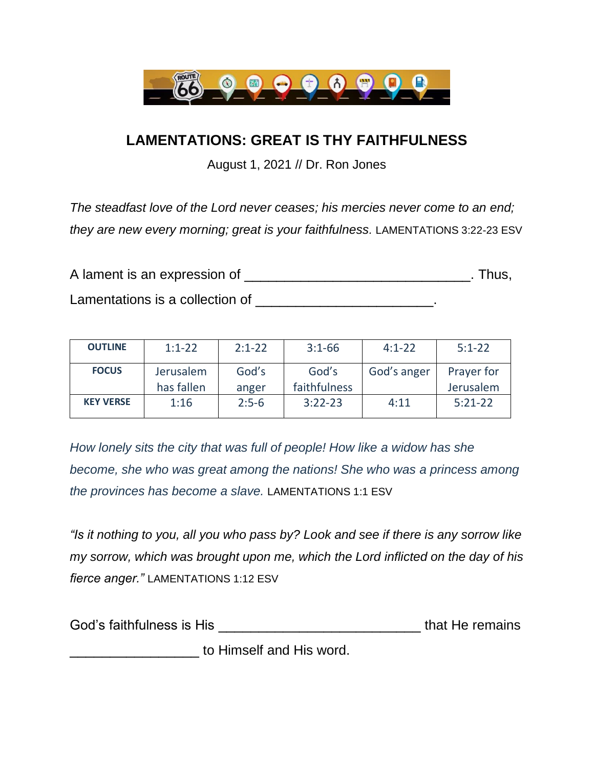

## **LAMENTATIONS: GREAT IS THY FAITHFULNESS**

August 1, 2021 // Dr. Ron Jones

*The steadfast love of the Lord never ceases; his mercies never come to an end; they are new every morning; great is your faithfulness.* LAMENTATIONS 3:22-23 ESV

| A lament is an expression of    | . Thus. |
|---------------------------------|---------|
| Lamentations is a collection of |         |

| <b>OUTLINE</b>   | $1:1-22$                | $2:1 - 22$     | $3:1-66$              | $4:1 - 22$  | $5:1 - 22$              |
|------------------|-------------------------|----------------|-----------------------|-------------|-------------------------|
| <b>FOCUS</b>     | Jerusalem<br>has fallen | God's<br>anger | God's<br>faithfulness | God's anger | Prayer for<br>Jerusalem |
| <b>KEY VERSE</b> | 1:16                    | $2:5-6$        | $3:22-23$             | 4:11        | $5:21-22$               |
|                  |                         |                |                       |             |                         |

*How lonely sits the city that was full of people! How like a widow has she become, she who was great among the nations! She who was a princess among the provinces has become a slave.* LAMENTATIONS 1:1 ESV

*"Is it nothing to you, all you who pass by? Look and see if there is any sorrow like my sorrow, which was brought upon me, which the Lord inflicted on the day of his fierce anger."* LAMENTATIONS 1:12 ESV

| God's faithfulness is His | that He remains |  |
|---------------------------|-----------------|--|
| to Himself and His word.  |                 |  |